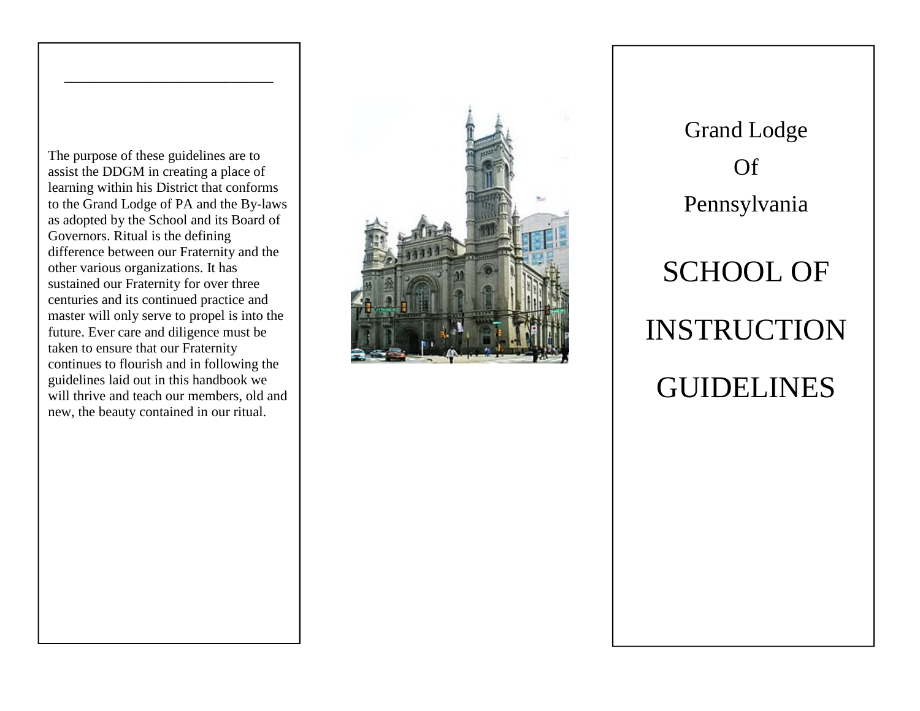The purpose of these guidelines are to assist the DDGM in creating a place of learning within his District that conforms to the Grand Lodge of PA and the By-laws as adopted by the School and its Board of Governors. Ritual is the defining difference between our Fraternity and the other various organizations. It has sustained our Fraternity for over three centuries and its continued practice and master will only serve to propel is into the future. Ever care and diligence must be taken to ensure that our Fraternity continues to flourish and in following the guidelines laid out in this handbook we will thrive and teach our members, old and new, the beauty contained in our ritual.

\_\_\_\_\_\_\_\_\_\_\_\_\_\_\_\_\_\_\_\_\_\_\_\_\_\_\_\_\_\_



Grand Lodge Of Pennsylvania SCHOOL OF INSTRUCTION GUIDELINES